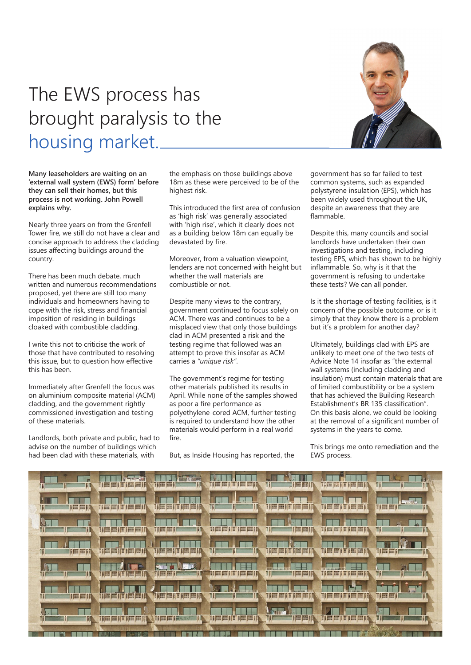## The EWS process has brought paralysis to the housing market.

**Many leaseholders are waiting on an 'external wall system (EWS) form' before they can sell their homes, but this process is not working. John Powell explains why.**

Nearly three years on from the Grenfell Tower fire, we still do not have a clear and concise approach to address the cladding issues affecting buildings around the country.

There has been much debate, much written and numerous recommendations proposed, yet there are still too many individuals and homeowners having to cope with the risk, stress and financial imposition of residing in buildings cloaked with combustible cladding.

I write this not to criticise the work of those that have contributed to resolving this issue, but to question how effective this has been.

Immediately after Grenfell the focus was on aluminium composite material (ACM) cladding, and the government rightly commissioned investigation and testing of these materials.

Landlords, both private and public, had to advise on the number of buildings which had been clad with these materials, with

the emphasis on those buildings above 18m as these were perceived to be of the highest risk.

This introduced the first area of confusion as 'high risk' was generally associated with 'high rise', which it clearly does not as a building below 18m can equally be devastated by fire.

Moreover, from a valuation viewpoint, lenders are not concerned with height but whether the wall materials are combustible or not.

Despite many views to the contrary, government continued to focus solely on ACM. There was and continues to be a misplaced view that only those buildings clad in ACM presented a risk and the testing regime that followed was an attempt to prove this insofar as ACM carries a *"unique risk"*.

The government's regime for testing other materials published its results in April. While none of the samples showed as poor a fire performance as polyethylene-cored ACM, further testing is required to understand how the other materials would perform in a real world fire.

But, as Inside Housing has reported, the

government has so far failed to test common systems, such as expanded polystyrene insulation (EPS), which has been widely used throughout the UK, despite an awareness that they are flammable.

Despite this, many councils and social landlords have undertaken their own investigations and testing, including testing EPS, which has shown to be highly inflammable. So, why is it that the government is refusing to undertake these tests? We can all ponder.

Is it the shortage of testing facilities, is it concern of the possible outcome, or is it simply that they know there is a problem but it's a problem for another day?

Ultimately, buildings clad with EPS are unlikely to meet one of the two tests of Advice Note 14 insofar as "the external wall systems (including cladding and insulation) must contain materials that are of limited combustibility or be a system that has achieved the Building Research Establishment's BR 135 classification". On this basis alone, we could be looking at the removal of a significant number of systems in the years to come.

This brings me onto remediation and the EWS process.